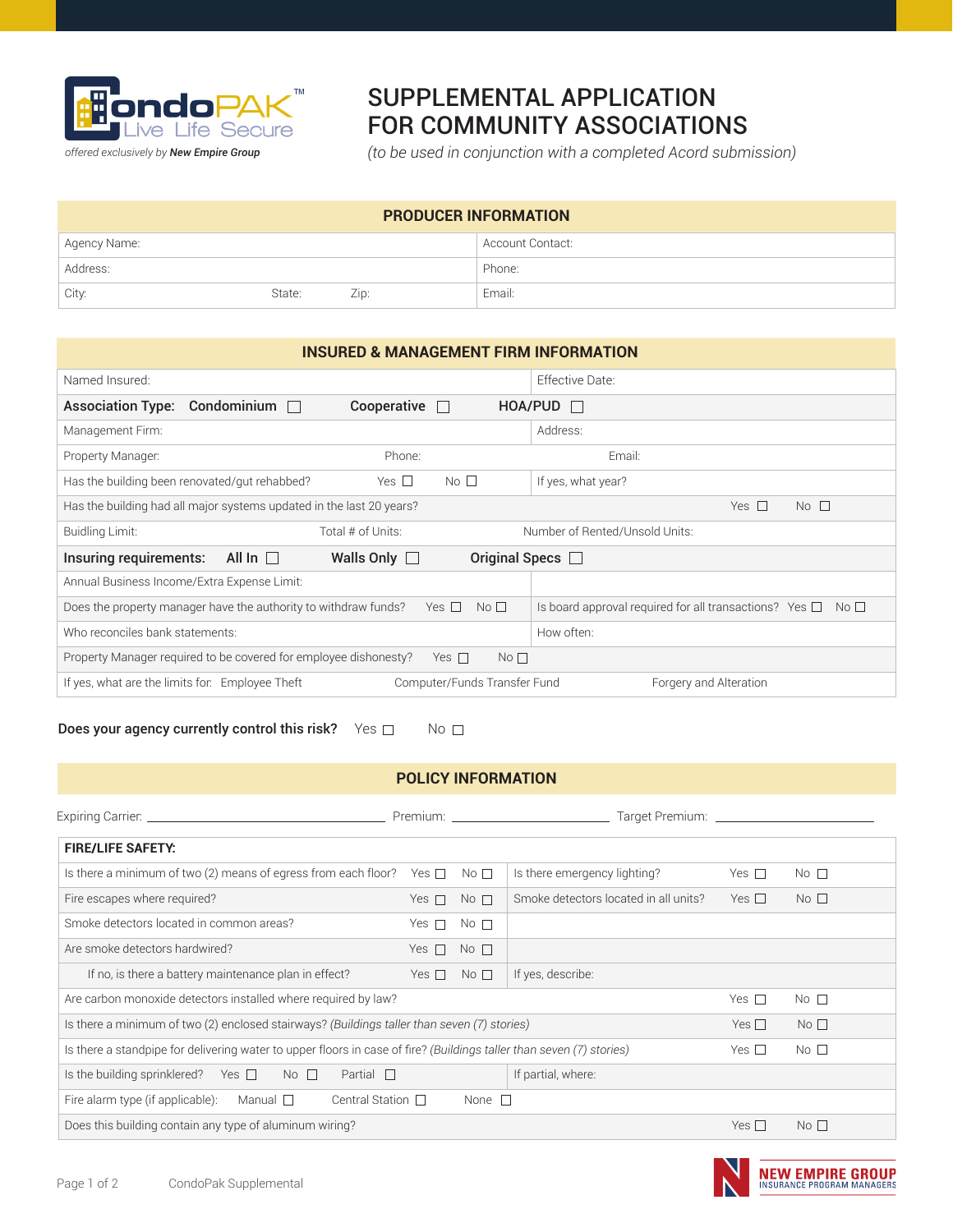

## SUPPLEMENTAL APPLICATION FOR COMMUNITY ASSOCIATIONS

*(to be used in conjunction with a completed Acord submission)*

| <b>PRODUCER INFORMATION</b> |        |         |                  |
|-----------------------------|--------|---------|------------------|
| Agency Name:                |        |         | Account Contact: |
| Address:                    |        |         | Phone:           |
| City:                       | State: | $Z$ ID: | Email:           |

## **INSURED & MANAGEMENT FIRM INFORMATION**

| Named Insured:                                                                                    |                               | Effective Date:                                                                   |  |
|---------------------------------------------------------------------------------------------------|-------------------------------|-----------------------------------------------------------------------------------|--|
| Condominium<br><b>Association Type:</b><br>$\mathbf{1}$                                           | Cooperative<br>$\mathbf{1}$   | HOA/PUD<br>$\mathbf{1}$                                                           |  |
| Management Firm:                                                                                  |                               | Address:                                                                          |  |
| Property Manager:                                                                                 | Phone:                        | Email:                                                                            |  |
| Has the building been renovated/gut rehabbed?                                                     | No <sub>1</sub><br>Yes $\Box$ | If yes, what year?                                                                |  |
| Has the building had all major systems updated in the last 20 years?<br>Yes $\Box$<br>$No$ $\Box$ |                               |                                                                                   |  |
| Buidling Limit:                                                                                   | Total # of Units:             | Number of Rented/Unsold Units:                                                    |  |
| Insuring requirements:<br>All In $\square$<br>Original Specs □<br>Walls Only $\Box$               |                               |                                                                                   |  |
| Annual Business Income/Extra Expense Limit:                                                       |                               |                                                                                   |  |
| Does the property manager have the authority to withdraw funds?                                   | Yes $\Box$<br>No <sub>1</sub> | Is board approval required for all transactions? Yes $\square$<br>No <sub>1</sub> |  |
| Who reconciles bank statements:                                                                   |                               | How often:                                                                        |  |
| Property Manager required to be covered for employee dishonesty?<br>Yes $\Box$<br>No <sub>1</sub> |                               |                                                                                   |  |
| If yes, what are the limits for: Employee Theft                                                   | Computer/Funds Transfer Fund  | Forgery and Alteration                                                            |  |

## Does your agency currently control this risk? Yes  $\Box$  No  $\Box$

## **POLICY INFORMATION**

|                                                                                                                      |            |                              | Target Premium: Target Premium:       |                 |                 |
|----------------------------------------------------------------------------------------------------------------------|------------|------------------------------|---------------------------------------|-----------------|-----------------|
| <b>FIRE/LIFE SAFETY:</b>                                                                                             |            |                              |                                       |                 |                 |
| Is there a minimum of two (2) means of egress from each floor? Yes $\Box$                                            |            | $\mathbb N$ o $\mathbb \Box$ | Is there emergency lighting?          | Yes $\Box$      | No <sub>1</sub> |
| Fire escapes where required?                                                                                         | Yes $\Box$ | No <sub>1</sub>              | Smoke detectors located in all units? | Yes $\Box$      | $No$ $\Box$     |
| Smoke detectors located in common areas?                                                                             | Yes $\Box$ | No <sub>1</sub>              |                                       |                 |                 |
| Are smoke detectors hardwired?                                                                                       | Yes $\Box$ | No <sub>1</sub>              |                                       |                 |                 |
| If no, is there a battery maintenance plan in effect?                                                                | Yes $\Box$ | No <sub>1</sub>              | If yes, describe:                     |                 |                 |
| Are carbon monoxide detectors installed where required by law?                                                       |            |                              |                                       | Yes $\Box$      | No <sub>1</sub> |
| Is there a minimum of two (2) enclosed stairways? (Buildings taller than seven (7) stories)                          |            |                              | Yes $\square$                         | No <sub>1</sub> |                 |
| Is there a standpipe for delivering water to upper floors in case of fire? (Buildings taller than seven (7) stories) |            |                              | Yes $\square$                         | No <sub>1</sub> |                 |
| If partial, where:<br>Is the building sprinklered? Yes $\square$ No $\square$<br>Partial $\Box$                      |            |                              |                                       |                 |                 |
| Central Station $\Box$<br>Fire alarm type (if applicable):<br>Manual $\Box$<br>None $\Box$                           |            |                              |                                       |                 |                 |
| Does this building contain any type of aluminum wiring?                                                              |            |                              | Yes $\Box$                            | No <sub>1</sub> |                 |